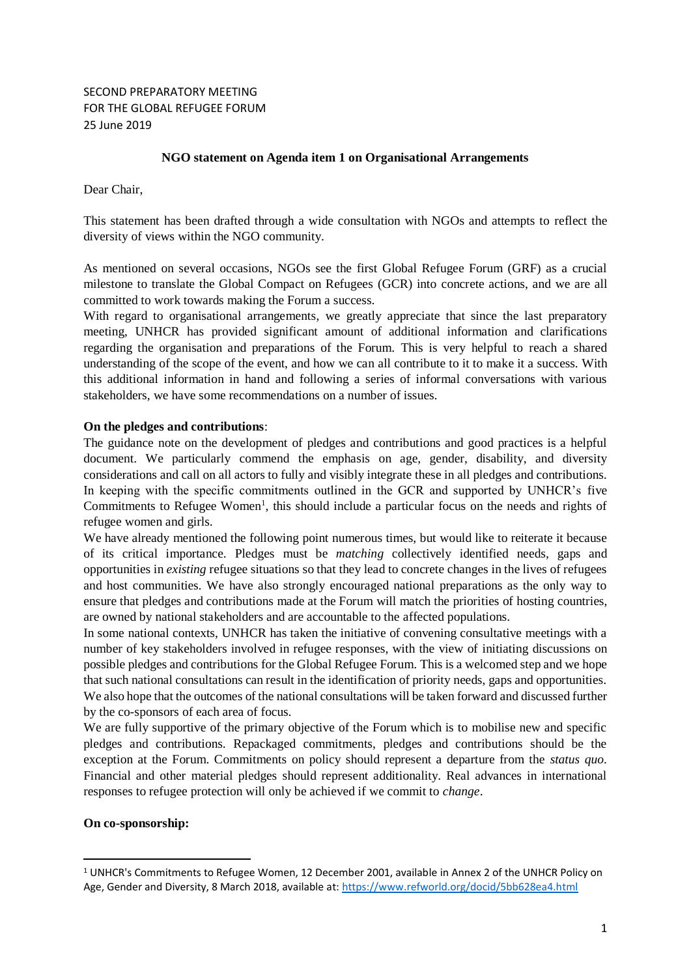# SECOND PREPARATORY MEETING FOR THE GLOBAL REFUGEE FORUM 25 June 2019

## **NGO statement on Agenda item 1 on Organisational Arrangements**

Dear Chair,

This statement has been drafted through a wide consultation with NGOs and attempts to reflect the diversity of views within the NGO community.

As mentioned on several occasions, NGOs see the first Global Refugee Forum (GRF) as a crucial milestone to translate the Global Compact on Refugees (GCR) into concrete actions, and we are all committed to work towards making the Forum a success.

With regard to organisational arrangements, we greatly appreciate that since the last preparatory meeting, UNHCR has provided significant amount of additional information and clarifications regarding the organisation and preparations of the Forum. This is very helpful to reach a shared understanding of the scope of the event, and how we can all contribute to it to make it a success. With this additional information in hand and following a series of informal conversations with various stakeholders, we have some recommendations on a number of issues.

### **On the pledges and contributions**:

The guidance note on the development of pledges and contributions and good practices is a helpful document. We particularly commend the emphasis on age, gender, disability, and diversity considerations and call on all actors to fully and visibly integrate these in all pledges and contributions. In keeping with the specific commitments outlined in the GCR and supported by UNHCR's five Commitments to Refugee Women<sup>1</sup>, this should include a particular focus on the needs and rights of refugee women and girls.

We have already mentioned the following point numerous times, but would like to reiterate it because of its critical importance. Pledges must be *matching* collectively identified needs, gaps and opportunities in *existing* refugee situations so that they lead to concrete changes in the lives of refugees and host communities. We have also strongly encouraged national preparations as the only way to ensure that pledges and contributions made at the Forum will match the priorities of hosting countries, are owned by national stakeholders and are accountable to the affected populations.

In some national contexts, UNHCR has taken the initiative of convening consultative meetings with a number of key stakeholders involved in refugee responses, with the view of initiating discussions on possible pledges and contributions for the Global Refugee Forum. This is a welcomed step and we hope that such national consultations can result in the identification of priority needs, gaps and opportunities. We also hope that the outcomes of the national consultations will be taken forward and discussed further by the co-sponsors of each area of focus.

We are fully supportive of the primary objective of the Forum which is to mobilise new and specific pledges and contributions. Repackaged commitments, pledges and contributions should be the exception at the Forum. Commitments on policy should represent a departure from the *status quo*. Financial and other material pledges should represent additionality. Real advances in international responses to refugee protection will only be achieved if we commit to *change*.

### **On co-sponsorship:**

1

<sup>1</sup> UNHCR's Commitments to Refugee Women, 12 December 2001, available in Annex 2 of the UNHCR Policy on Age, Gender and Diversity, 8 March 2018, available at:<https://www.refworld.org/docid/5bb628ea4.html>